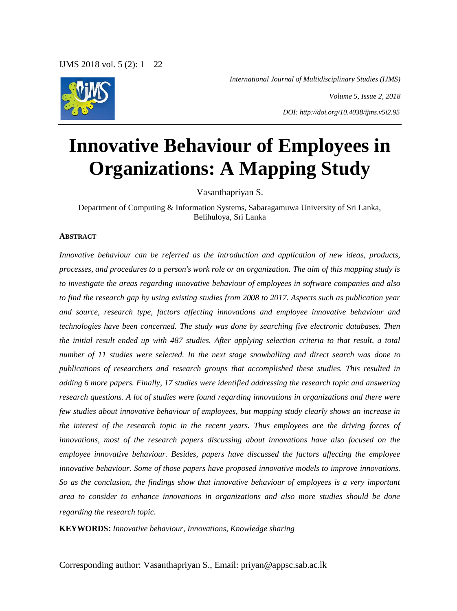*International Journal of Multidisciplinary Studies (IJMS)*



*Volume 5, Issue 2, 2018 DOI: http://doi.org/10.4038/ijms.v5i2.95*

# **Innovative Behaviour of Employees in Organizations: A Mapping Study**

Vasanthapriyan S.

Department of Computing & Information Systems, Sabaragamuwa University of Sri Lanka, Belihuloya, Sri Lanka

#### **ABSTRACT**

*Innovative behaviour can be referred as the introduction and application of new ideas, products, processes, and procedures to a person's work role or an organization. The aim of this mapping study is to investigate the areas regarding innovative behaviour of employees in software companies and also to find the research gap by using existing studies from 2008 to 2017. Aspects such as publication year and source, research type, factors affecting innovations and employee innovative behaviour and technologies have been concerned. The study was done by searching five electronic databases. Then the initial result ended up with 487 studies. After applying selection criteria to that result, a total number of 11 studies were selected. In the next stage snowballing and direct search was done to publications of researchers and research groups that accomplished these studies. This resulted in adding 6 more papers. Finally, 17 studies were identified addressing the research topic and answering research questions. A lot of studies were found regarding innovations in organizations and there were few studies about innovative behaviour of employees, but mapping study clearly shows an increase in the interest of the research topic in the recent years. Thus employees are the driving forces of innovations, most of the research papers discussing about innovations have also focused on the employee innovative behaviour. Besides, papers have discussed the factors affecting the employee innovative behaviour. Some of those papers have proposed innovative models to improve innovations. So as the conclusion, the findings show that innovative behaviour of employees is a very important area to consider to enhance innovations in organizations and also more studies should be done regarding the research topic.* 

**KEYWORDS:** *Innovative behaviour, Innovations, Knowledge sharing*

Corresponding author: Vasanthapriyan S., Email: priyan@appsc.sab.ac.lk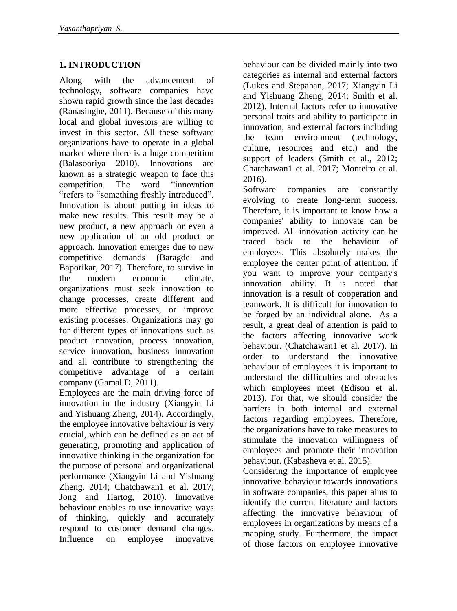# **1. INTRODUCTION**

Along with the advancement of technology, software companies have shown rapid growth since the last decades (Ranasinghe, 2011). Because of this many local and global investors are willing to invest in this sector. All these software organizations have to operate in a global market where there is a huge competition (Balasooriya 2010). Innovations are known as a strategic weapon to face this competition. The word "innovation "refers to "something freshly introduced". Innovation is about putting in ideas to make new results. This result may be a new product, a new approach or even a new application of an old product or approach. Innovation emerges due to new competitive demands (Baragde and Baporikar, 2017). Therefore, to survive in the modern economic climate, organizations must seek innovation to change processes, create different and more effective processes, or improve existing processes. Organizations may go for different types of innovations such as product innovation, process innovation, service innovation, business innovation and all contribute to strengthening the competitive advantage of a certain company (Gamal D, 2011).

Employees are the main driving force of innovation in the industry (Xiangyin Li and Yishuang Zheng, 2014). Accordingly, the employee innovative behaviour is very crucial, which can be defined as an act of generating, promoting and application of innovative thinking in the organization for the purpose of personal and organizational performance (Xiangyin Li and Yishuang Zheng, 2014; Chatchawan1 et al. 2017; Jong and Hartog, 2010). Innovative behaviour enables to use innovative ways of thinking, quickly and accurately respond to customer demand changes. Influence on employee innovative

behaviour can be divided mainly into two categories as internal and external factors (Lukes and Stepahan, 2017; Xiangyin Li and Yishuang Zheng, 2014; Smith et al. 2012). Internal factors refer to innovative personal traits and ability to participate in innovation, and external factors including the team environment (technology, culture, resources and etc.) and the support of leaders (Smith et al., 2012; Chatchawan1 et al. 2017; Monteiro et al. 2016).

Software companies are constantly evolving to create long-term success. Therefore, it is important to know how a companies' ability to innovate can be improved. All innovation activity can be traced back to the behaviour of employees. This absolutely makes the employee the center point of attention, if you want to improve your company's innovation ability. It is noted that innovation is a result of cooperation and teamwork. It is difficult for innovation to be forged by an individual alone. As a result, a great deal of attention is paid to the factors affecting innovative work behaviour. (Chatchawan1 et al. 2017). In order to understand the innovative behaviour of employees it is important to understand the difficulties and obstacles which employees meet (Edison et al. 2013). For that, we should consider the barriers in both internal and external factors regarding employees. Therefore, the organizations have to take measures to stimulate the innovation willingness of employees and promote their innovation behaviour. (Kabasheva et al. 2015).

Considering the importance of employee innovative behaviour towards innovations in software companies, this paper aims to identify the current literature and factors affecting the innovative behaviour of employees in organizations by means of a mapping study. Furthermore, the impact of those factors on employee innovative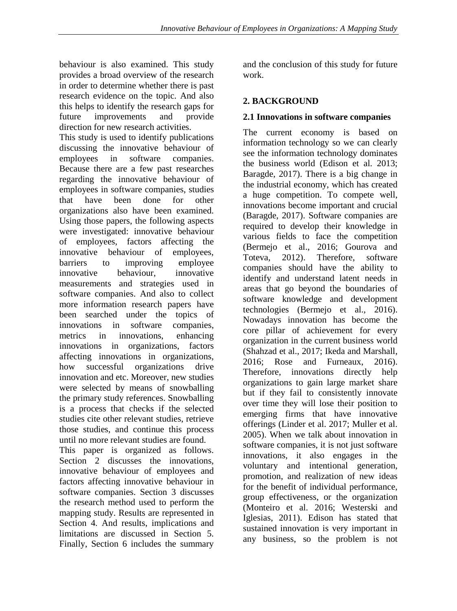behaviour is also examined. This study provides a broad overview of the research in order to determine whether there is past research evidence on the topic. And also this helps to identify the research gaps for future improvements and provide direction for new research activities.

This study is used to identify publications discussing the innovative behaviour of employees in software companies. Because there are a few past researches regarding the innovative behaviour of employees in software companies, studies that have been done for other organizations also have been examined. Using those papers, the following aspects were investigated: innovative behaviour of employees, factors affecting the innovative behaviour of employees, barriers to improving employee innovative behaviour, innovative measurements and strategies used in software companies. And also to collect more information research papers have been searched under the topics of innovations in software companies, metrics in innovations, enhancing innovations in organizations, factors affecting innovations in organizations, how successful organizations drive innovation and etc. Moreover, new studies were selected by means of snowballing the primary study references. Snowballing is a process that checks if the selected studies cite other relevant studies, retrieve those studies, and continue this process until no more relevant studies are found.

This paper is organized as follows. Section 2 discusses the innovations, innovative behaviour of employees and factors affecting innovative behaviour in software companies. Section 3 discusses the research method used to perform the mapping study. Results are represented in Section 4. And results, implications and limitations are discussed in Section 5. Finally, Section 6 includes the summary

and the conclusion of this study for future work.

# **2. BACKGROUND**

# **2.1 Innovations in software companies**

The current economy is based on information technology so we can clearly see the information technology dominates the business world (Edison et al. 2013; Baragde, 2017). There is a big change in the industrial economy, which has created a huge competition. To compete well, innovations become important and crucial (Baragde, 2017). Software companies are required to develop their knowledge in various fields to face the competition (Bermejo et al., 2016; Gourova and Toteva, 2012). Therefore, software companies should have the ability to identify and understand latent needs in areas that go beyond the boundaries of software knowledge and development technologies (Bermejo et al., 2016). Nowadays innovation has become the core pillar of achievement for every organization in the current business world (Shahzad et al., 2017; Ikeda and Marshall, 2016; Rose and Furneaux, 2016). Therefore, innovations directly help organizations to gain large market share but if they fail to consistently innovate over time they will lose their position to emerging firms that have innovative offerings (Linder et al. 2017; Muller et al. 2005). When we talk about innovation in software companies, it is not just software innovations, it also engages in the voluntary and intentional generation, promotion, and realization of new ideas for the benefit of individual performance, group effectiveness, or the organization (Monteiro et al. 2016; Westerski and Iglesias, 2011). Edison has stated that sustained innovation is very important in any business, so the problem is not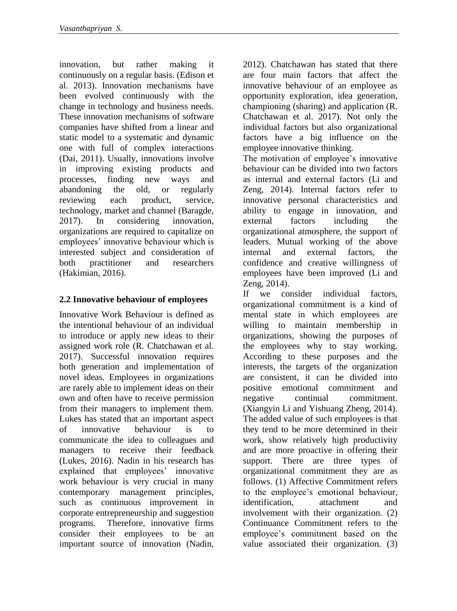innovation, but rather making it continuously on a regular basis. (Edison et al. 2013). Innovation mechanisms have been evolved continuously with the change in technology and business needs. These innovation mechanisms of software companies have shifted from a linear and static model to a systematic and dynamic one with full of complex interactions (Dai, 2011). Usually, innovations involve in improving existing products and processes, finding new ways and abandoning the old, or regularly reviewing each product, service, technology, market and channel (Baragde, 2017). In considering innovation, organizations are required to capitalize on employees' innovative behaviour which is interested subject and consideration of both practitioner and researchers (Hakimian, 2016).

# **2.2 Innovative behaviour of employees**

Innovative Work Behaviour is defined as the intentional behaviour of an individual to introduce or apply new ideas to their assigned work role (R. Chatchawan et al. 2017). Successful innovation requires both generation and implementation of novel ideas. Employees in organizations are rarely able to implement ideas on their own and often have to receive permission from their managers to implement them. Lukes has stated that an important aspect of innovative behaviour is to communicate the idea to colleagues and managers to receive their feedback (Lukes, 2016). Nadin in his research has explained that employees' innovative work behaviour is very crucial in many contemporary management principles, such as continuous improvement in corporate entrepreneurship and suggestion programs. Therefore, innovative firms consider their employees to be an important source of innovation (Nadin,

2012). Chatchawan has stated that there are four main factors that affect the innovative behaviour of an employee as opportunity exploration, idea generation, championing (sharing) and application (R. Chatchawan et al. 2017). Not only the individual factors but also organizational factors have a big influence on the employee innovative thinking.

The motivation of employee's innovative behaviour can be divided into two factors as internal and external factors (Li and Zeng, 2014). Internal factors refer to innovative personal characteristics and ability to engage in innovation, and external factors including the organizational atmosphere, the support of leaders. Mutual working of the above internal and external factors, the confidence and creative willingness of employees have been improved (Li and Zeng, 2014).

If we consider individual factors, organizational commitment is a kind of mental state in which employees are willing to maintain membership in organizations, showing the purposes of the employees why to stay working. According to these purposes and the interests, the targets of the organization are consistent, it can be divided into positive emotional commitment and negative continual commitment. (Xiangyin Li and Yishuang Zheng, 2014). The added value of such employees is that they tend to be more determined in their work, show relatively high productivity and are more proactive in offering their support. There are three types of organizational commitment they are as follows. (1) Affective Commitment refers to the employee's emotional behaviour, identification, attachment and involvement with their organization. (2) Continuance Commitment refers to the employee's commitment based on the value associated their organization. (3)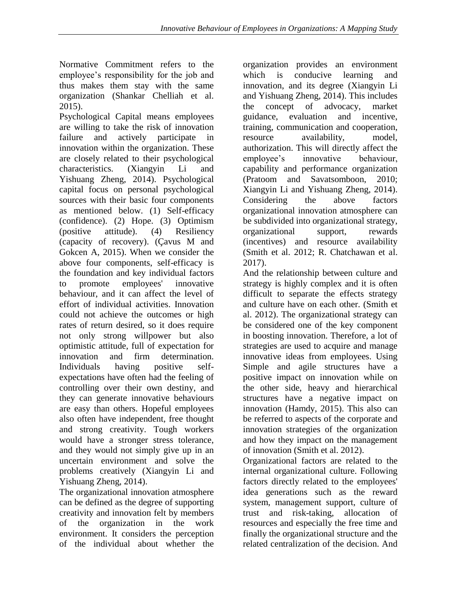Normative Commitment refers to the employee's responsibility for the job and thus makes them stay with the same organization (Shankar Chelliah et al. 2015).

Psychological Capital means employees are willing to take the risk of innovation failure and actively participate in innovation within the organization. These are closely related to their psychological characteristics. (Xiangyin Li and Yishuang Zheng, 2014). Psychological capital focus on personal psychological sources with their basic four components as mentioned below. (1) Self-efficacy (confidence). (2) Hope. (3) Optimism (positive attitude). (4) Resiliency (capacity of recovery). (Çavus M and Gokcen A, 2015). When we consider the above four components, self-efficacy is the foundation and key individual factors to promote employees' innovative behaviour, and it can affect the level of effort of individual activities. Innovation could not achieve the outcomes or high rates of return desired, so it does require not only strong willpower but also optimistic attitude, full of expectation for innovation and firm determination. Individuals having positive selfexpectations have often had the feeling of controlling over their own destiny, and they can generate innovative behaviours are easy than others. Hopeful employees also often have independent, free thought and strong creativity. Tough workers would have a stronger stress tolerance, and they would not simply give up in an uncertain environment and solve the problems creatively (Xiangyin Li and Yishuang Zheng, 2014).

The organizational innovation atmosphere can be defined as the degree of supporting creativity and innovation felt by members of the organization in the work environment. It considers the perception of the individual about whether the organization provides an environment which is conducive learning and innovation, and its degree (Xiangyin Li and Yishuang Zheng, 2014). This includes the concept of advocacy, market guidance, evaluation and incentive, training, communication and cooperation, resource availability, model, authorization. This will directly affect the employee's innovative behaviour, capability and performance organization (Pratoom and Savatsomboon, 2010; Xiangyin Li and Yishuang Zheng, 2014). Considering the above factors organizational innovation atmosphere can be subdivided into organizational strategy, organizational support, rewards (incentives) and resource availability (Smith et al. 2012; R. Chatchawan et al. 2017).

And the relationship between culture and strategy is highly complex and it is often difficult to separate the effects strategy and culture have on each other. (Smith et al. 2012). The organizational strategy can be considered one of the key component in boosting innovation. Therefore, a lot of strategies are used to acquire and manage innovative ideas from employees. Using Simple and agile structures have a positive impact on innovation while on the other side, heavy and hierarchical structures have a negative impact on innovation (Hamdy, 2015). This also can be referred to aspects of the corporate and innovation strategies of the organization and how they impact on the management of innovation (Smith et al. 2012).

Organizational factors are related to the internal organizational culture. Following factors directly related to the employees' idea generations such as the reward system, management support, culture of trust and risk-taking, allocation of resources and especially the free time and finally the organizational structure and the related centralization of the decision. And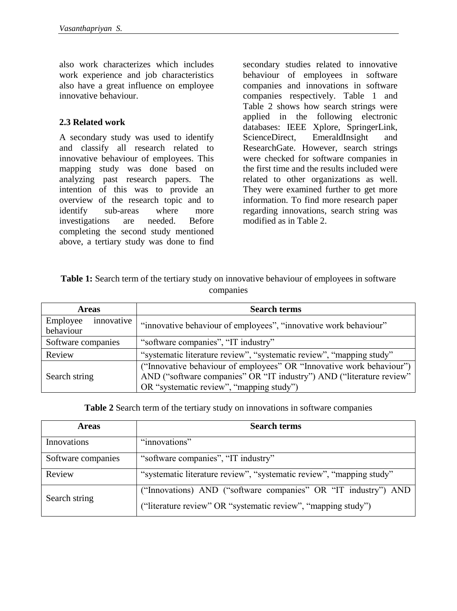also work characterizes which includes work experience and job characteristics also have a great influence on employee innovative behaviour.

#### **2.3 Related work**

A secondary study was used to identify and classify all research related to innovative behaviour of employees. This mapping study was done based on analyzing past research papers. The intention of this was to provide an overview of the research topic and to identify sub-areas where more investigations are needed. Before completing the second study mentioned above, a tertiary study was done to find secondary studies related to innovative behaviour of employees in software companies and innovations in software companies respectively. Table 1 and Table 2 shows how search strings were applied in the following electronic databases: IEEE Xplore, SpringerLink, ScienceDirect, EmeraldInsight and ResearchGate. However, search strings were checked for software companies in the first time and the results included were related to other organizations as well. They were examined further to get more information. To find more research paper regarding innovations, search string was modified as in Table 2.

| <b>Table 1:</b> Search term of the tertiary study on innovative behaviour of employees in software |
|----------------------------------------------------------------------------------------------------|
| companies                                                                                          |

| <b>Areas</b>           | <b>Search terms</b>                                                  |  |  |
|------------------------|----------------------------------------------------------------------|--|--|
| innovative<br>Employee | "innovative behaviour of employees", "innovative work behaviour"     |  |  |
| behaviour              |                                                                      |  |  |
| Software companies     | "software companies", "IT industry"                                  |  |  |
| Review                 | "systematic literature review", "systematic review", "mapping study" |  |  |
|                        | ("Innovative behaviour of employees" OR "Innovative work behaviour") |  |  |
| Search string          | AND ("software companies" OR "IT industry") AND ("literature review" |  |  |
|                        | OR "systematic review", "mapping study")                             |  |  |

**Table 2** Search term of the tertiary study on innovations in software companies

| <b>Areas</b>       | <b>Search terms</b>                                                  |
|--------------------|----------------------------------------------------------------------|
| Innovations        | "innovations"                                                        |
| Software companies | "software companies", "IT industry"                                  |
| Review             | "systematic literature review", "systematic review", "mapping study" |
| Search string      | ("Innovations) AND ("software companies" OR "IT industry") AND       |
|                    | ("literature review" OR "systematic review", "mapping study")        |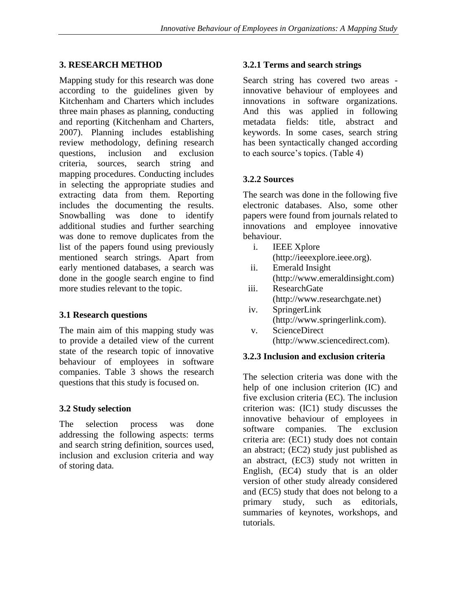## **3. RESEARCH METHOD**

Mapping study for this research was done according to the guidelines given by Kitchenham and Charters which includes three main phases as planning, conducting and reporting (Kitchenham and Charters, 2007). Planning includes establishing review methodology, defining research questions, inclusion and exclusion criteria, sources, search string and mapping procedures. Conducting includes in selecting the appropriate studies and extracting data from them. Reporting includes the documenting the results. Snowballing was done to identify additional studies and further searching was done to remove duplicates from the list of the papers found using previously mentioned search strings. Apart from early mentioned databases, a search was done in the google search engine to find more studies relevant to the topic.

## **3.1 Research questions**

The main aim of this mapping study was to provide a detailed view of the current state of the research topic of innovative behaviour of employees in software companies. Table 3 shows the research questions that this study is focused on.

## **3.2 Study selection**

The selection process was done addressing the following aspects: terms and search string definition, sources used, inclusion and exclusion criteria and way of storing data.

## **3.2.1 Terms and search strings**

Search string has covered two areas innovative behaviour of employees and innovations in software organizations. And this was applied in following metadata fields: title, abstract and keywords. In some cases, search string has been syntactically changed according to each source's topics. (Table 4)

# **3.2.2 Sources**

The search was done in the following five electronic databases. Also, some other papers were found from journals related to innovations and employee innovative behaviour.

- i. IEEE Xplore [\(http://ieeexplore.ieee.org\)](http://ieeexplore.ieee.org/).
- ii. Emerald Insight [\(http://www.emeraldinsight.com\)](http://www.emeraldinsight.com/)
- iii. ResearchGate [\(http://www.researchgate.net\)](http://www.researchgate.net/)
- iv. SpringerLink [\(http://www.springerlink.com\)](http://www.springerlink.com/).
- v. ScienceDirect [\(http://www.sciencedirect.com\)](http://www.sciencedirect.com/).

## **3.2.3 Inclusion and exclusion criteria**

The selection criteria was done with the help of one inclusion criterion (IC) and five exclusion criteria (EC). The inclusion criterion was: (IC1) study discusses the innovative behaviour of employees in software companies. The exclusion criteria are: (EC1) study does not contain an abstract; (EC2) study just published as an abstract, (EC3) study not written in English, (EC4) study that is an older version of other study already considered and (EC5) study that does not belong to a primary study, such as editorials, summaries of keynotes, workshops, and tutorials.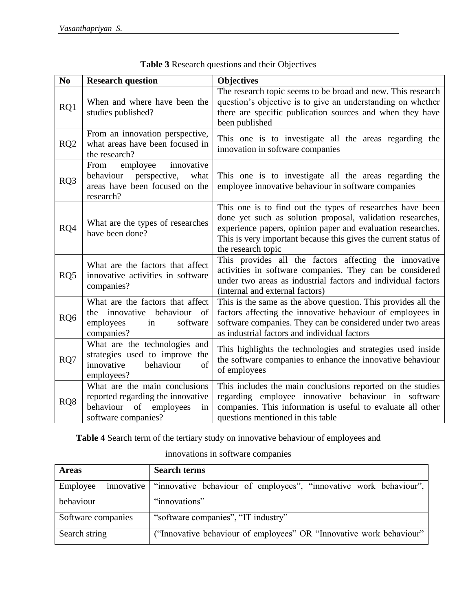| N <sub>0</sub>  | <b>Research question</b>                                                                                                     | <b>Objectives</b>                                                                                                                                                                                                                                                               |
|-----------------|------------------------------------------------------------------------------------------------------------------------------|---------------------------------------------------------------------------------------------------------------------------------------------------------------------------------------------------------------------------------------------------------------------------------|
| RQ1             | When and where have been the<br>studies published?                                                                           | The research topic seems to be broad and new. This research<br>question's objective is to give an understanding on whether<br>there are specific publication sources and when they have<br>been published                                                                       |
| RQ <sub>2</sub> | From an innovation perspective,<br>what areas have been focused in<br>the research?                                          | This one is to investigate all the areas regarding the<br>innovation in software companies                                                                                                                                                                                      |
| RQ3             | employee<br>innovative<br>From<br>behaviour perspective,<br>what<br>areas have been focused on the<br>research?              | This one is to investigate all the areas regarding the<br>employee innovative behaviour in software companies                                                                                                                                                                   |
| RQ4             | What are the types of researches<br>have been done?                                                                          | This one is to find out the types of researches have been<br>done yet such as solution proposal, validation researches,<br>experience papers, opinion paper and evaluation researches.<br>This is very important because this gives the current status of<br>the research topic |
| RQ5             | What are the factors that affect<br>innovative activities in software<br>companies?                                          | This provides all the factors affecting the innovative<br>activities in software companies. They can be considered<br>under two areas as industrial factors and individual factors<br>(internal and external factors)                                                           |
| RQ <sub>6</sub> | What are the factors that affect<br>the innovative behaviour<br><sub>of</sub><br>software<br>employees<br>in<br>companies?   | This is the same as the above question. This provides all the<br>factors affecting the innovative behaviour of employees in<br>software companies. They can be considered under two areas<br>as industrial factors and individual factors                                       |
| RQ7             | What are the technologies and<br>strategies used to improve the<br>innovative<br>of<br>behaviour<br>employees?               | This highlights the technologies and strategies used inside<br>the software companies to enhance the innovative behaviour<br>of employees                                                                                                                                       |
| RQ8             | What are the main conclusions<br>reported regarding the innovative<br>behaviour<br>of employees<br>in<br>software companies? | This includes the main conclusions reported on the studies<br>regarding employee innovative behaviour in software<br>companies. This information is useful to evaluate all other<br>questions mentioned in this table                                                           |

| Table 3 Research questions and their Objectives |
|-------------------------------------------------|
|-------------------------------------------------|

**Table 4** Search term of the tertiary study on innovative behaviour of employees and

innovations in software companies

| <b>Areas</b>       | <b>Search terms</b>                                                          |
|--------------------|------------------------------------------------------------------------------|
| Employee           | innovative "innovative behaviour of employees", "innovative work behaviour", |
| behaviour          | "innovations"                                                                |
| Software companies | "software companies", "IT industry"                                          |
| Search string      | ("Innovative behaviour of employees" OR "Innovative work behaviour"          |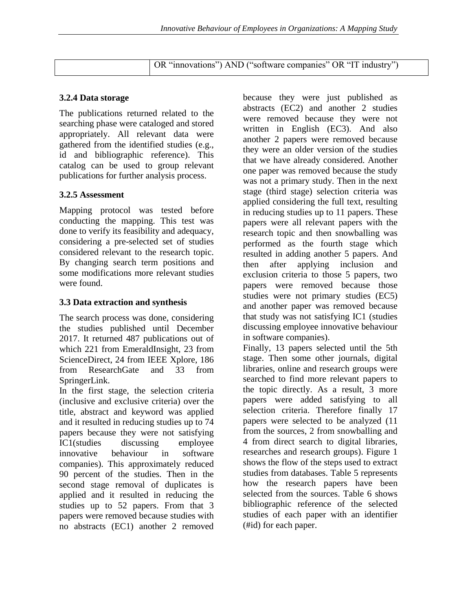| OR "innovations") AND ("software companies" OR "IT industry") |
|---------------------------------------------------------------|
|                                                               |

#### **3.2.4 Data storage**

The publications returned related to the searching phase were cataloged and stored appropriately. All relevant data were gathered from the identified studies (e.g., id and bibliographic reference). This catalog can be used to group relevant publications for further analysis process.

#### **3.2.5 Assessment**

Mapping protocol was tested before conducting the mapping. This test was done to verify its feasibility and adequacy, considering a pre-selected set of studies considered relevant to the research topic. By changing search term positions and some modifications more relevant studies were found.

#### **3.3 Data extraction and synthesis**

The search process was done, considering the studies published until December 2017. It returned 487 publications out of which 221 from EmeraldInsight, 23 from ScienceDirect, 24 from IEEE Xplore, 186 from ResearchGate and 33 from SpringerLink.

In the first stage, the selection criteria (inclusive and exclusive criteria) over the title, abstract and keyword was applied and it resulted in reducing studies up to 74 papers because they were not satisfying IC1(studies discussing employee innovative behaviour in software companies). This approximately reduced 90 percent of the studies. Then in the second stage removal of duplicates is applied and it resulted in reducing the studies up to 52 papers. From that 3 papers were removed because studies with no abstracts (EC1) another 2 removed because they were just published as abstracts (EC2) and another 2 studies were removed because they were not written in English (EC3). And also another 2 papers were removed because they were an older version of the studies that we have already considered. Another one paper was removed because the study was not a primary study. Then in the next stage (third stage) selection criteria was applied considering the full text, resulting in reducing studies up to 11 papers. These papers were all relevant papers with the research topic and then snowballing was performed as the fourth stage which resulted in adding another 5 papers. And then after applying inclusion and exclusion criteria to those 5 papers, two papers were removed because those studies were not primary studies (EC5) and another paper was removed because that study was not satisfying IC1 (studies discussing employee innovative behaviour in software companies).

Finally, 13 papers selected until the 5th stage. Then some other journals, digital libraries, online and research groups were searched to find more relevant papers to the topic directly. As a result, 3 more papers were added satisfying to all selection criteria. Therefore finally 17 papers were selected to be analyzed (11 from the sources, 2 from snowballing and 4 from direct search to digital libraries, researches and research groups). Figure 1 shows the flow of the steps used to extract studies from databases. Table 5 represents how the research papers have been selected from the sources. Table 6 shows bibliographic reference of the selected studies of each paper with an identifier (#id) for each paper.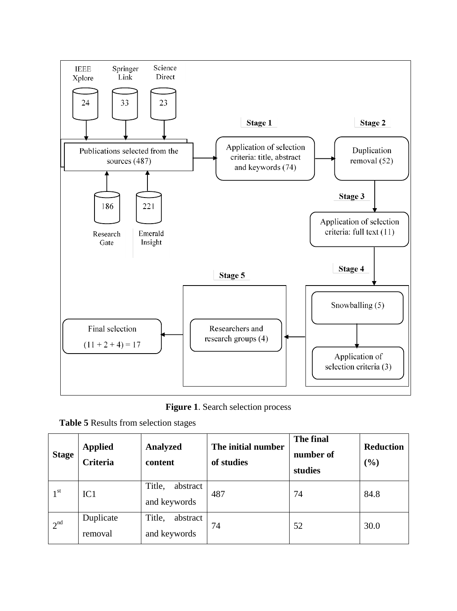

**Figure 1**. Search selection process

| Table 5 Results from selection stages |  |
|---------------------------------------|--|
|---------------------------------------|--|

| <b>Stage</b>    | <b>Applied</b><br><b>Criteria</b> | <b>Analyzed</b><br>content         | The initial number<br>of studies | The final<br>number of<br>studies | <b>Reduction</b><br>(%) |
|-----------------|-----------------------------------|------------------------------------|----------------------------------|-----------------------------------|-------------------------|
| 1 <sup>st</sup> | IC1                               | Title,<br>abstract<br>and keywords | 487                              | 74                                | 84.8                    |
| 2 <sup>nd</sup> | Duplicate<br>removal              | Title,<br>abstract<br>and keywords | 74                               | 52                                | 30.0                    |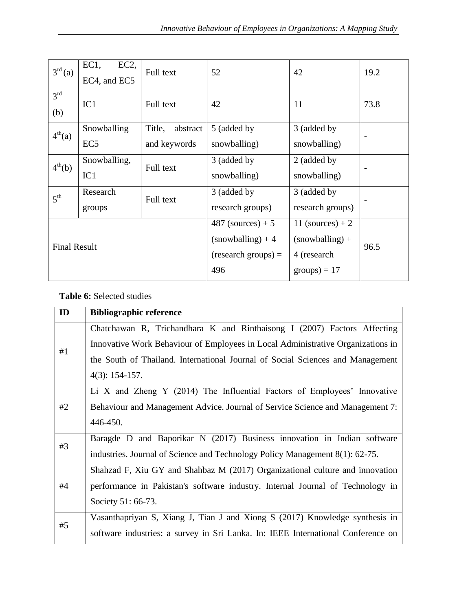| 3 <sup>rd</sup> (a)    | EC1,<br>EC2<br>EC4, and EC5 | Full text             | 52                | 42               | 19.2 |
|------------------------|-----------------------------|-----------------------|-------------------|------------------|------|
| 3 <sup>rd</sup><br>(b) | IC1                         | Full text             | 42                | 11               | 73.8 |
| 4 <sup>th</sup> (a)    | Snowballing                 | Title,<br>abstract    | 5 (added by       | 3 (added by      |      |
|                        | EC <sub>5</sub>             | and keywords          | snowballing)      | snowballing)     |      |
| $4^{th}(b)$            | Snowballing,                | Full text             | 3 (added by       | 2 (added by      |      |
|                        | IC1                         |                       | snowballing)      | snowballing)     |      |
| 5 <sup>th</sup>        | Research                    | Full text             | 3 (added by       | 3 (added by      |      |
|                        | groups                      |                       | research groups)  | research groups) |      |
| <b>Final Result</b>    |                             | $487$ (sources) + 5   | 11 (sources) $+2$ |                  |      |
|                        |                             | $(snowballing) + 4$   | $(snowballing) +$ |                  |      |
|                        |                             | $(research groups) =$ | 4 (research       | 96.5             |      |
|                        |                             | 496                   | $groups) = 17$    |                  |      |

# **Table 6:** Selected studies

| ID | <b>Bibliographic reference</b>                                                   |
|----|----------------------------------------------------------------------------------|
| #1 | Chatchawan R, Trichandhara K and Rinthaisong I (2007) Factors Affecting          |
|    | Innovative Work Behaviour of Employees in Local Administrative Organizations in  |
|    | the South of Thailand. International Journal of Social Sciences and Management   |
|    | $4(3): 154-157.$                                                                 |
|    | Li X and Zheng Y (2014) The Influential Factors of Employees' Innovative         |
| #2 | Behaviour and Management Advice. Journal of Service Science and Management 7:    |
|    | 446-450.                                                                         |
| #3 | Baragde D and Baporikar N (2017) Business innovation in Indian software          |
|    | industries. Journal of Science and Technology Policy Management 8(1): 62-75.     |
|    | Shahzad F, Xiu GY and Shahbaz M (2017) Organizational culture and innovation     |
| #4 | performance in Pakistan's software industry. Internal Journal of Technology in   |
|    | Society 51: 66-73.                                                               |
| #5 | Vasanthapriyan S, Xiang J, Tian J and Xiong S (2017) Knowledge synthesis in      |
|    | software industries: a survey in Sri Lanka. In: IEEE International Conference on |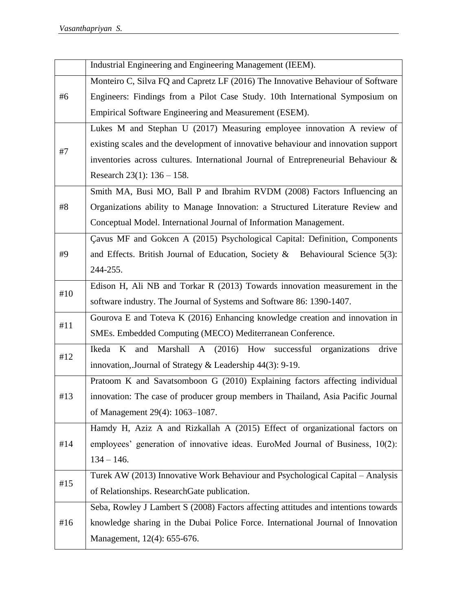|     | Industrial Engineering and Engineering Management (IEEM).                          |
|-----|------------------------------------------------------------------------------------|
|     | Monteiro C, Silva FQ and Capretz LF (2016) The Innovative Behaviour of Software    |
| #6  | Engineers: Findings from a Pilot Case Study. 10th International Symposium on       |
|     | Empirical Software Engineering and Measurement (ESEM).                             |
|     | Lukes M and Stephan U (2017) Measuring employee innovation A review of             |
| #7  | existing scales and the development of innovative behaviour and innovation support |
|     | inventories across cultures. International Journal of Entrepreneurial Behaviour &  |
|     | Research $23(1)$ : $136 - 158$ .                                                   |
|     | Smith MA, Busi MO, Ball P and Ibrahim RVDM (2008) Factors Influencing an           |
| #8  | Organizations ability to Manage Innovation: a Structured Literature Review and     |
|     | Conceptual Model. International Journal of Information Management.                 |
|     | Cavus MF and Gokcen A (2015) Psychological Capital: Definition, Components         |
| #9  | and Effects. British Journal of Education, Society & Behavioural Science $5(3)$ :  |
|     | 244-255.                                                                           |
| #10 | Edison H, Ali NB and Torkar R (2013) Towards innovation measurement in the         |
|     | software industry. The Journal of Systems and Software 86: 1390-1407.              |
| #11 | Gourova E and Toteva K (2016) Enhancing knowledge creation and innovation in       |
|     | SMEs. Embedded Computing (MECO) Mediterranean Conference.                          |
| #12 | Marshall A (2016) How successful organizations<br>Ikeda K and<br>drive             |
|     | innovation, Journal of Strategy & Leadership 44(3): 9-19.                          |
|     | Pratoom K and Savatsomboon G (2010) Explaining factors affecting individual        |
| #13 | innovation: The case of producer group members in Thailand, Asia Pacific Journal   |
|     | of Management 29(4): 1063-1087.                                                    |
|     | Hamdy H, Aziz A and Rizkallah A (2015) Effect of organizational factors on         |
| #14 | employees' generation of innovative ideas. EuroMed Journal of Business, 10(2):     |
|     | $134 - 146.$                                                                       |
| #15 | Turek AW (2013) Innovative Work Behaviour and Psychological Capital - Analysis     |
|     | of Relationships. ResearchGate publication.                                        |
|     | Seba, Rowley J Lambert S (2008) Factors affecting attitudes and intentions towards |
| #16 | knowledge sharing in the Dubai Police Force. International Journal of Innovation   |
|     | Management, 12(4): 655-676.                                                        |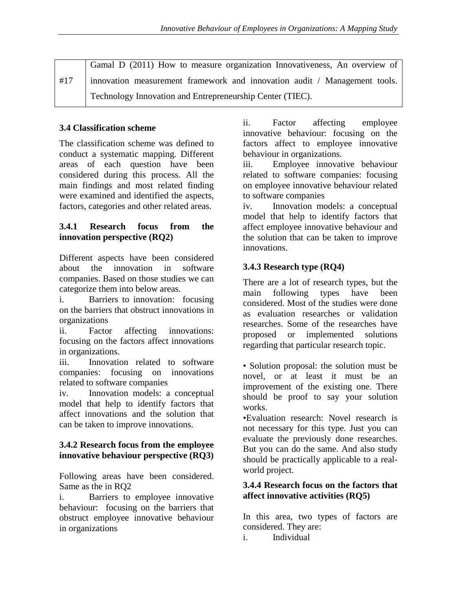|     | Gamal D (2011) How to measure organization Innovativeness, An overview of |
|-----|---------------------------------------------------------------------------|
| #17 | innovation measurement framework and innovation audit / Management tools. |
|     | Technology Innovation and Entrepreneurship Center (TIEC).                 |

# **3.4 Classification scheme**

The classification scheme was defined to conduct a systematic mapping. Different areas of each question have been considered during this process. All the main findings and most related finding were examined and identified the aspects, factors, categories and other related areas.

## **3.4.1 Research focus from the innovation perspective (RQ2)**

Different aspects have been considered about the innovation in software companies. Based on those studies we can categorize them into below areas.

i. Barriers to innovation: focusing on the barriers that obstruct innovations in organizations

ii. Factor affecting innovations: focusing on the factors affect innovations in organizations.

iii. Innovation related to software companies: focusing on innovations related to software companies

iv. Innovation models: a conceptual model that help to identify factors that affect innovations and the solution that can be taken to improve innovations.

## **3.4.2 Research focus from the employee innovative behaviour perspective (RQ3)**

Following areas have been considered. Same as the in RQ2

i. Barriers to employee innovative behaviour: focusing on the barriers that obstruct employee innovative behaviour in organizations

ii. Factor affecting employee innovative behaviour: focusing on the factors affect to employee innovative behaviour in organizations.

iii. Employee innovative behaviour related to software companies: focusing on employee innovative behaviour related to software companies

iv. Innovation models: a conceptual model that help to identify factors that affect employee innovative behaviour and the solution that can be taken to improve innovations.

# **3.4.3 Research type (RQ4)**

There are a lot of research types, but the main following types have been considered. Most of the studies were done as evaluation researches or validation researches. Some of the researches have proposed or implemented solutions regarding that particular research topic.

• Solution proposal: the solution must be novel, or at least it must be an improvement of the existing one. There should be proof to say your solution works.

•Evaluation research: Novel research is not necessary for this type. Just you can evaluate the previously done researches. But you can do the same. And also study should be practically applicable to a realworld project.

## **3.4.4 Research focus on the factors that affect innovative activities (RQ5)**

In this area, two types of factors are considered. They are:

i. Individual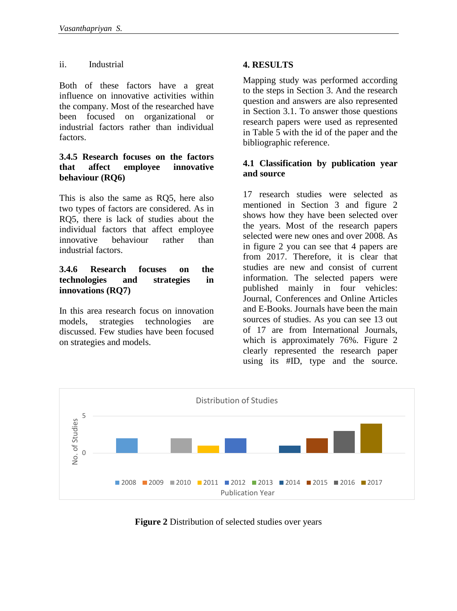#### ii. Industrial

Both of these factors have a great influence on innovative activities within the company. Most of the researched have been focused on organizational or industrial factors rather than individual factors.

#### **3.4.5 Research focuses on the factors that affect employee innovative behaviour (RQ6)**

This is also the same as RQ5, here also two types of factors are considered. As in RQ5, there is lack of studies about the individual factors that affect employee innovative behaviour rather than industrial factors.

#### **3.4.6 Research focuses on the technologies and strategies in innovations (RQ7)**

In this area research focus on innovation models, strategies technologies are discussed. Few studies have been focused on strategies and models.

# **4. RESULTS**

Mapping study was performed according to the steps in Section 3. And the research question and answers are also represented in Section 3.1. To answer those questions research papers were used as represented in Table 5 with the id of the paper and the bibliographic reference.

#### **4.1 Classification by publication year and source**

17 research studies were selected as mentioned in Section 3 and figure 2 shows how they have been selected over the years. Most of the research papers selected were new ones and over 2008. As in figure 2 you can see that 4 papers are from 2017. Therefore, it is clear that studies are new and consist of current information. The selected papers were published mainly in four vehicles: Journal, Conferences and Online Articles and E-Books. Journals have been the main sources of studies. As you can see 13 out of 17 are from International Journals, which is approximately 76%. Figure 2 clearly represented the research paper using its #ID, type and the source.



**Figure 2** Distribution of selected studies over years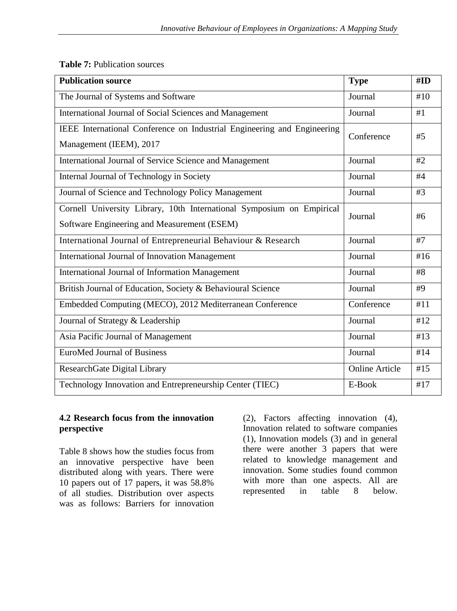| <b>Publication source</b>                                                                                            | <b>Type</b>           | #ID |
|----------------------------------------------------------------------------------------------------------------------|-----------------------|-----|
| The Journal of Systems and Software                                                                                  | Journal               | #10 |
| International Journal of Social Sciences and Management                                                              | Journal               | #1  |
| IEEE International Conference on Industrial Engineering and Engineering<br>Management (IEEM), 2017                   | Conference            | #5  |
| International Journal of Service Science and Management                                                              | Journal               | #2  |
| Internal Journal of Technology in Society                                                                            | Journal               | #4  |
| Journal of Science and Technology Policy Management                                                                  | Journal               | #3  |
| Cornell University Library, 10th International Symposium on Empirical<br>Software Engineering and Measurement (ESEM) | Journal               | #6  |
| International Journal of Entrepreneurial Behaviour & Research                                                        | Journal               | #7  |
| <b>International Journal of Innovation Management</b>                                                                | Journal               | #16 |
| <b>International Journal of Information Management</b>                                                               | Journal               | #8  |
| British Journal of Education, Society & Behavioural Science                                                          | Journal               | #9  |
| Embedded Computing (MECO), 2012 Mediterranean Conference                                                             | Conference            | #11 |
| Journal of Strategy & Leadership                                                                                     | Journal               | #12 |
| Asia Pacific Journal of Management                                                                                   | Journal               | #13 |
| <b>EuroMed Journal of Business</b>                                                                                   | Journal               | #14 |
| ResearchGate Digital Library                                                                                         | <b>Online Article</b> | #15 |
| Technology Innovation and Entrepreneurship Center (TIEC)                                                             | E-Book                | #17 |

**Table 7:** Publication sources

#### **4.2 Research focus from the innovation perspective**

Table 8 shows how the studies focus from an innovative perspective have been distributed along with years. There were 10 papers out of 17 papers, it was 58.8% of all studies. Distribution over aspects was as follows: Barriers for innovation (2), Factors affecting innovation (4), Innovation related to software companies (1), Innovation models (3) and in general there were another 3 papers that were related to knowledge management and innovation. Some studies found common with more than one aspects. All are represented in table 8 below.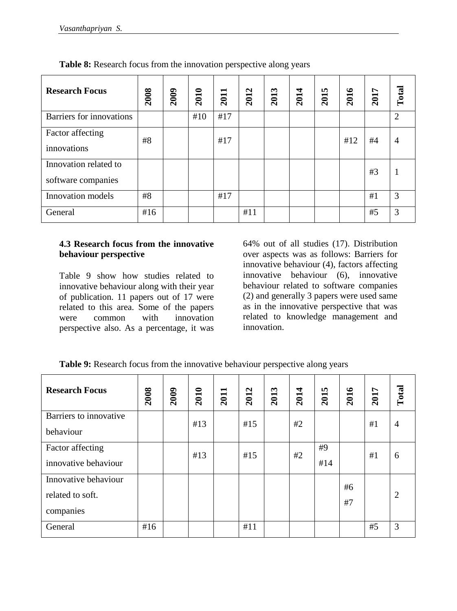| <b>Research Focus</b>                       | 2008 | <b>2009</b> | 2010 | $\blacksquare$<br>201 | 2012 | 2013 | 2014 | n,<br>201 | 2016 | 2017 | Total          |
|---------------------------------------------|------|-------------|------|-----------------------|------|------|------|-----------|------|------|----------------|
| Barriers for innovations                    |      |             | #10  | #17                   |      |      |      |           |      |      | $\overline{2}$ |
| Factor affecting<br>innovations             | #8   |             |      | #17                   |      |      |      |           | #12  | #4   | $\overline{4}$ |
| Innovation related to<br>software companies |      |             |      |                       |      |      |      |           |      | #3   |                |
| Innovation models                           | #8   |             |      | #17                   |      |      |      |           |      | #1   | 3              |
| General                                     | #16  |             |      |                       | #11  |      |      |           |      | #5   | 3              |

**Table 8:** Research focus from the innovation perspective along years

#### **4.3 Research focus from the innovative behaviour perspective**

Table 9 show how studies related to innovative behaviour along with their year of publication. 11 papers out of 17 were related to this area. Some of the papers were common with innovation perspective also. As a percentage, it was

64% out of all studies (17). Distribution over aspects was as follows: Barriers for innovative behaviour (4), factors affecting innovative behaviour (6), innovative behaviour related to software companies (2) and generally 3 papers were used same as in the innovative perspective that was related to knowledge management and innovation.

| <b>Research Focus</b>                                 | 2008 | <b>2009</b> | 2010 | 2011 | 2012 | 2013 | 2014 | 2015      | 2016     | 2017 | Total          |
|-------------------------------------------------------|------|-------------|------|------|------|------|------|-----------|----------|------|----------------|
| Barriers to innovative<br>behaviour                   |      |             | #13  |      | #15  |      | #2   |           |          | #1   | $\overline{4}$ |
| Factor affecting<br>innovative behaviour              |      |             | #13  |      | #15  |      | #2   | #9<br>#14 |          | #1   | 6              |
| Innovative behaviour<br>related to soft.<br>companies |      |             |      |      |      |      |      |           | #6<br>#7 |      | $\overline{2}$ |
| General                                               | #16  |             |      |      | #11  |      |      |           |          | #5   | 3              |

**Table 9:** Research focus from the innovative behaviour perspective along years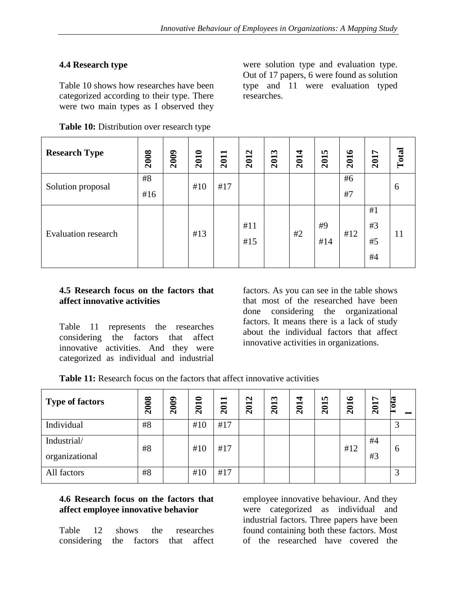## **4.4 Research type**

Table 10 shows how researches have been categorized according to their type. There were two main types as I observed they

|  | Table 10: Distribution over research type |  |  |  |
|--|-------------------------------------------|--|--|--|
|--|-------------------------------------------|--|--|--|

were solution type and evaluation type. Out of 17 papers, 6 were found as solution type and 11 were evaluation typed researches.

| <b>Research Type</b>       | 2008      | <b>2009</b> | 2010 | 2011 | 2012       | 2013 | 2014 | 2015      | 2016     | 2017                 | Total |
|----------------------------|-----------|-------------|------|------|------------|------|------|-----------|----------|----------------------|-------|
| Solution proposal          | #8<br>#16 |             | #10  | #17  |            |      |      |           | #6<br>#7 |                      | 6     |
| <b>Evaluation research</b> |           |             | #13  |      | #11<br>#15 |      | #2   | #9<br>#14 | #12      | #1<br>#3<br>#5<br>#4 | 11    |

#### **4.5 Research focus on the factors that affect innovative activities**

Table 11 represents the researches considering the factors that affect innovative activities. And they were categorized as individual and industrial

factors. As you can see in the table shows that most of the researched have been done considering the organizational factors. It means there is a lack of study about the individual factors that affect innovative activities in organizations.

**Table 11:** Research focus on the factors that affect innovative activities

| <b>Type of factors</b> | 2008 | 2009 | 2010 | 2011 | 2012 | 2013 | 2014 | 2015 | 2016 | 2017 | $\overline{012}$  |
|------------------------|------|------|------|------|------|------|------|------|------|------|-------------------|
| Individual             | #8   |      | #10  | #17  |      |      |      |      |      |      |                   |
| Industrial/            | #8   |      | #10  | #17  |      |      |      |      | #12  | #4   | 6                 |
| organizational         |      |      |      |      |      |      |      |      |      | #3   |                   |
| All factors            | #8   |      | #10  | #17  |      |      |      |      |      |      | $\mathbf{\Omega}$ |

#### **4.6 Research focus on the factors that affect employee innovative behavior**

Table 12 shows the researches considering the factors that affect employee innovative behaviour. And they were categorized as individual and industrial factors. Three papers have been found containing both these factors. Most of the researched have covered the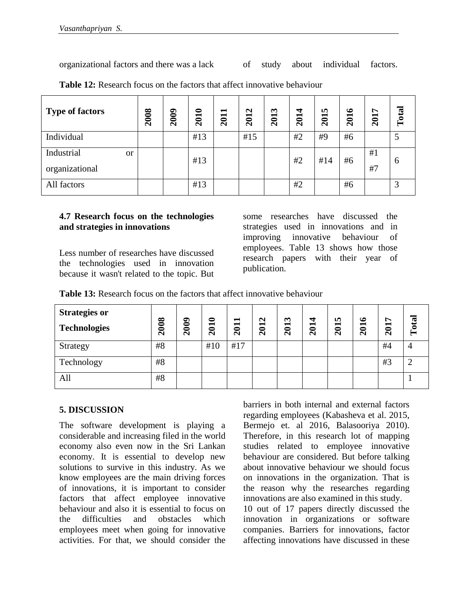organizational factors and there was a lack of study about individual factors.

| <b>Type of factors</b>                        | 2008 | <b>2009</b> | 2010 | 2011 | 2012 | 2013 | 2014 | 2015 | ؎<br><b>201</b> | 2017     | Total        |
|-----------------------------------------------|------|-------------|------|------|------|------|------|------|-----------------|----------|--------------|
| Individual                                    |      |             | #13  |      | #15  |      | #2   | #9   | #6              |          |              |
| Industrial<br><sub>or</sub><br>organizational |      |             | #13  |      |      |      | #2   | #14  | #6              | #1<br>#7 | <sub>0</sub> |
| All factors                                   |      |             | #13  |      |      |      | #2   |      | #6              |          |              |

**Table 12:** Research focus on the factors that affect innovative behaviour

#### **4.7 Research focus on the technologies and strategies in innovations**

Less number of researches have discussed the technologies used in innovation because it wasn't related to the topic. But

some researches have discussed the strategies used in innovations and in improving innovative behaviour of employees. Table 13 shows how those research papers with their year of publication.

**Table 13:** Research focus on the factors that affect innovative behaviour

| <b>Strategies or</b><br><b>Technologies</b> | 2008 | 2009 | 2010 | 2011 | 2012 | 2013 | 2014 | 2015 | 2016 | 2017 | Total |
|---------------------------------------------|------|------|------|------|------|------|------|------|------|------|-------|
| Strategy                                    | #8   |      | #10  | #17  |      |      |      |      |      | #4   |       |
| Technology                                  | #8   |      |      |      |      |      |      |      |      | #3   |       |
| All                                         | #8   |      |      |      |      |      |      |      |      |      |       |

## **5. DISCUSSION**

The software development is playing a considerable and increasing filed in the world economy also even now in the Sri Lankan economy. It is essential to develop new solutions to survive in this industry. As we know employees are the main driving forces of innovations, it is important to consider factors that affect employee innovative behaviour and also it is essential to focus on the difficulties and obstacles which employees meet when going for innovative activities. For that, we should consider the

barriers in both internal and external factors regarding employees (Kabasheva et al. 2015, Bermejo et. al 2016, Balasooriya 2010). Therefore, in this research lot of mapping studies related to employee innovative behaviour are considered. But before talking about innovative behaviour we should focus on innovations in the organization. That is the reason why the researches regarding innovations are also examined in this study. 10 out of 17 papers directly discussed the innovation in organizations or software companies. Barriers for innovations, factor

affecting innovations have discussed in these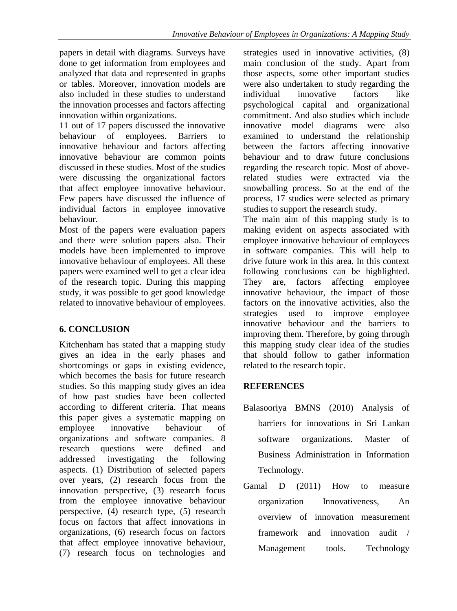papers in detail with diagrams. Surveys have done to get information from employees and analyzed that data and represented in graphs or tables. Moreover, innovation models are also included in these studies to understand the innovation processes and factors affecting innovation within organizations.

11 out of 17 papers discussed the innovative behaviour of employees. Barriers to innovative behaviour and factors affecting innovative behaviour are common points discussed in these studies. Most of the studies were discussing the organizational factors that affect employee innovative behaviour. Few papers have discussed the influence of individual factors in employee innovative behaviour.

Most of the papers were evaluation papers and there were solution papers also. Their models have been implemented to improve innovative behaviour of employees. All these papers were examined well to get a clear idea of the research topic. During this mapping study, it was possible to get good knowledge related to innovative behaviour of employees.

# **6. CONCLUSION**

Kitchenham has stated that a mapping study gives an idea in the early phases and shortcomings or gaps in existing evidence, which becomes the basis for future research studies. So this mapping study gives an idea of how past studies have been collected according to different criteria. That means this paper gives a systematic mapping on employee innovative behaviour of organizations and software companies. 8 research questions were defined and addressed investigating the following aspects. (1) Distribution of selected papers over years, (2) research focus from the innovation perspective, (3) research focus from the employee innovative behaviour perspective, (4) research type, (5) research focus on factors that affect innovations in organizations, (6) research focus on factors that affect employee innovative behaviour, (7) research focus on technologies and strategies used in innovative activities, (8) main conclusion of the study. Apart from those aspects, some other important studies were also undertaken to study regarding the individual innovative factors like psychological capital and organizational commitment. And also studies which include innovative model diagrams were also examined to understand the relationship between the factors affecting innovative behaviour and to draw future conclusions regarding the research topic. Most of aboverelated studies were extracted via the snowballing process. So at the end of the process, 17 studies were selected as primary studies to support the research study.

The main aim of this mapping study is to making evident on aspects associated with employee innovative behaviour of employees in software companies. This will help to drive future work in this area. In this context following conclusions can be highlighted. They are, factors affecting employee innovative behaviour, the impact of those factors on the innovative activities, also the strategies used to improve employee innovative behaviour and the barriers to improving them. Therefore, by going through this mapping study clear idea of the studies that should follow to gather information related to the research topic.

# **REFERENCES**

- Balasooriya BMNS (2010) Analysis of barriers for innovations in Sri Lankan software organizations. Master of Business Administration in Information Technology.
- Gamal D (2011) How to measure organization Innovativeness, An overview of innovation measurement framework and innovation audit / Management tools. Technology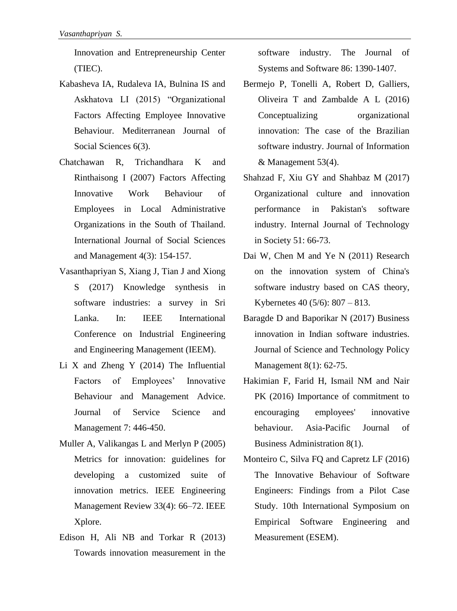Innovation and Entrepreneurship Center (TIEC).

- Kabasheva IA, Rudaleva IA, Bulnina IS and Askhatova LI (2015) "Organizational Factors Affecting Employee Innovative Behaviour. Mediterranean Journal of Social Sciences 6(3).
- Chatchawan R, Trichandhara K and Rinthaisong I (2007) Factors Affecting Innovative Work Behaviour of Employees in Local Administrative Organizations in the South of Thailand. International Journal of Social Sciences and Management 4(3): 154-157.
- Vasanthapriyan S, Xiang J, Tian J and Xiong S (2017) Knowledge synthesis in software industries: a survey in Sri Lanka. In: IEEE International Conference on Industrial Engineering and Engineering Management (IEEM).
- Li X and Zheng Y (2014) The Influential Factors of Employees' Innovative Behaviour and Management Advice. Journal of Service Science and Management 7: 446-450.
- Muller A, Valikangas L and Merlyn P (2005) Metrics for innovation: guidelines for developing a customized suite of innovation metrics. IEEE Engineering Management Review 33(4): 66–72. IEEE Xplore.
- Edison H, Ali NB and Torkar R (2013) Towards innovation measurement in the

software industry. The Journal of Systems and Software 86: 1390-1407.

- Bermejo P, Tonelli A, Robert D, Galliers, Oliveira T and Zambalde A L (2016) Conceptualizing organizational innovation: The case of the Brazilian software industry. Journal of Information & Management 53(4).
- Shahzad F, Xiu GY and Shahbaz M (2017) Organizational culture and innovation performance in Pakistan's software industry. Internal Journal of Technology in Society 51: 66-73.
- Dai W, Chen M and Ye N (2011) Research on the innovation system of China's software industry based on CAS theory, Kybernetes 40 (5/6): 807 – 813.
- Baragde D and Baporikar N (2017) Business innovation in Indian software industries. Journal of Science and Technology Policy Management 8(1): 62-75.
- Hakimian F, Farid H, Ismail NM and Nair PK (2016) Importance of commitment to encouraging employees' innovative behaviour. Asia-Pacific Journal of Business Administration 8(1).
- Monteiro C, Silva FQ and Capretz LF (2016) The Innovative Behaviour of Software Engineers: Findings from a Pilot Case Study. 10th International Symposium on Empirical Software Engineering and Measurement (ESEM).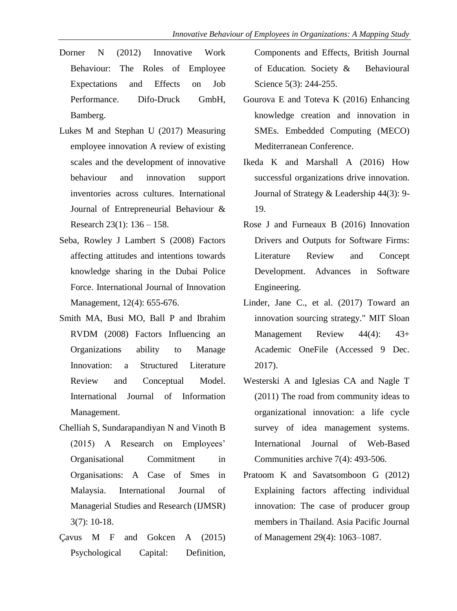- Dorner N (2012) Innovative Work Behaviour: The Roles of Employee Expectations and Effects on Job Performance. Difo-Druck GmbH, Bamberg.
- Lukes M and Stephan U (2017) Measuring employee innovation A review of existing scales and the development of innovative behaviour and innovation support inventories across cultures. International Journal of Entrepreneurial Behaviour & Research 23(1): 136 – 158.
- Seba, Rowley J Lambert S (2008) Factors affecting attitudes and intentions towards knowledge sharing in the Dubai Police Force. International Journal of Innovation Management, 12(4): 655-676.
- Smith MA, Busi MO, Ball P and Ibrahim RVDM (2008) Factors Influencing an Organizations ability to Manage Innovation: a Structured Literature Review and Conceptual Model. International Journal of Information Management.
- Chelliah S, Sundarapandiyan N and Vinoth B (2015) A Research on Employees' Organisational Commitment in Organisations: A Case of Smes in Malaysia. International Journal of Managerial Studies and Research (IJMSR) 3(7): 10-18.
- Çavus M F and Gokcen A (2015) Psychological Capital: Definition,

Components and Effects, British Journal of Education. Society & Behavioural Science 5(3): 244-255.

- Gourova E and Toteva K (2016) Enhancing knowledge creation and innovation in SMEs. Embedded Computing (MECO) Mediterranean Conference.
- Ikeda K and Marshall A (2016) How successful organizations drive innovation. Journal of Strategy & Leadership 44(3): 9- 19.
- Rose J and Furneaux B (2016) Innovation Drivers and Outputs for Software Firms: Literature Review and Concept Development. Advances in Software Engineering.
- Linder, Jane C., et al. (2017) Toward an innovation sourcing strategy." MIT Sloan Management Review 44(4): 43+ Academic OneFile (Accessed 9 Dec. 2017).
- Westerski A and Iglesias CA and Nagle T (2011) The road from community ideas to organizational innovation: a life cycle survey of idea management systems. International Journal of Web-Based Communities archive 7(4): 493-506.
- Pratoom K and Savatsomboon G (2012) Explaining factors affecting individual innovation: The case of producer group members in Thailand. Asia Pacific Journal of Management 29(4): 1063–1087.